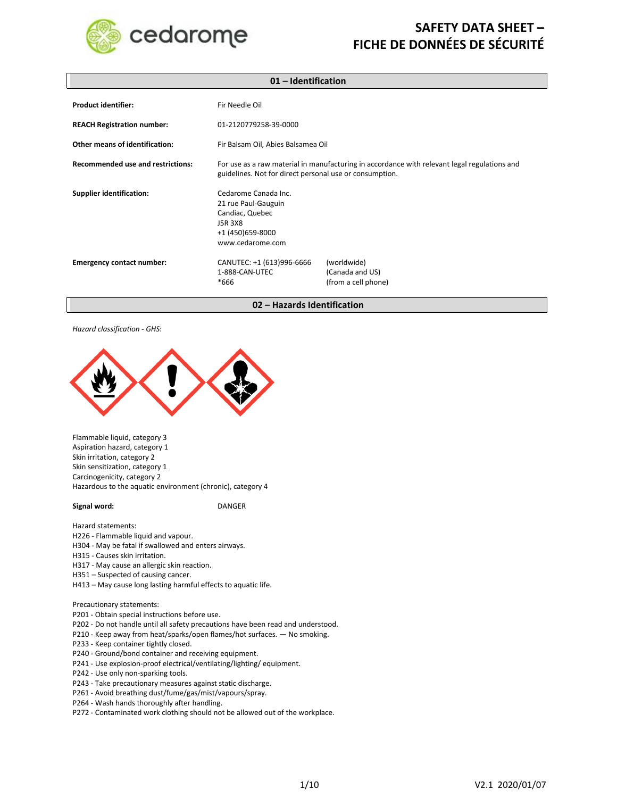

| $01$ – Identification                    |                                                                                                                                                         |                                                       |
|------------------------------------------|---------------------------------------------------------------------------------------------------------------------------------------------------------|-------------------------------------------------------|
| <b>Product identifier:</b>               | Fir Needle Oil                                                                                                                                          |                                                       |
| <b>REACH Registration number:</b>        | 01-2120779258-39-0000                                                                                                                                   |                                                       |
| Other means of identification:           | Fir Balsam Oil, Abies Balsamea Oil                                                                                                                      |                                                       |
| <b>Recommended use and restrictions:</b> | For use as a raw material in manufacturing in accordance with relevant legal regulations and<br>guidelines. Not for direct personal use or consumption. |                                                       |
| <b>Supplier identification:</b>          | Cedarome Canada Inc.<br>21 rue Paul-Gauguin<br>Candiac, Quebec<br>J5R 3X8<br>+1 (450) 659-8000<br>www.cedarome.com                                      |                                                       |
| <b>Emergency contact number:</b>         | CANUTEC: +1 (613)996-6666<br>1-888-CAN-UTEC<br>$*666$                                                                                                   | (worldwide)<br>(Canada and US)<br>(from a cell phone) |

**02 – Hazards Identification**

#### *Hazard classification - GHS*:



Flammable liquid, category 3 Aspiration hazard, category 1 Skin irritation, category 2 Skin sensitization, category 1 Carcinogenicity, category 2 Hazardous to the aquatic environment (chronic), category 4

**Signal word:** DANGER

Hazard statements:

- H226 Flammable liquid and vapour.
- H304 May be fatal if swallowed and enters airways.

H315 - Causes skin irritation.

- H317 May cause an allergic skin reaction.
- H351 Suspected of causing cancer.

H413 – May cause long lasting harmful effects to aquatic life.

Precautionary statements:

- P201 Obtain special instructions before use.
- P202 Do not handle until all safety precautions have been read and understood.
- P210 Keep away from heat/sparks/open flames/hot surfaces. No smoking.
- P233 Keep container tightly closed.
- P240 Ground/bond container and receiving equipment.
- P241 Use explosion-proof electrical/ventilating/lighting/ equipment.
- P242 Use only non-sparking tools.
- P243 Take precautionary measures against static discharge.
- P261 Avoid breathing dust/fume/gas/mist/vapours/spray.
- P264 Wash hands thoroughly after handling.
- P272 Contaminated work clothing should not be allowed out of the workplace.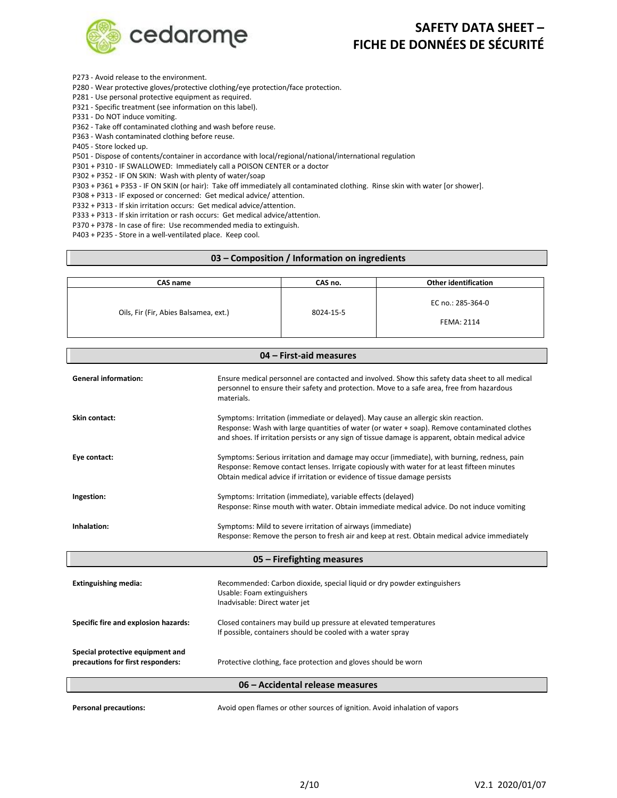

- P273 Avoid release to the environment.
- P280 Wear protective gloves/protective clothing/eye protection/face protection.
- P281 Use personal protective equipment as required.
- P321 Specific treatment (see information on this label).
- P331 Do NOT induce vomiting.
- P362 Take off contaminated clothing and wash before reuse.
- P363 Wash contaminated clothing before reuse.
- P405 Store locked up.
- P501 Dispose of contents/container in accordance with local/regional/national/international regulation
- P301 + P310 IF SWALLOWED: Immediately call a POISON CENTER or a doctor
- P302 + P352 IF ON SKIN: Wash with plenty of water/soap
- P303 + P361 + P353 IF ON SKIN (or hair): Take off immediately all contaminated clothing. Rinse skin with water [or shower].
- P308 + P313 IF exposed or concerned: Get medical advice/ attention.
- P332 + P313 If skin irritation occurs: Get medical advice/attention.
- P333 + P313 If skin irritation or rash occurs: Get medical advice/attention.
- P370 + P378 In case of fire: Use recommended media to extinguish.
- P403 + P235 Store in a well-ventilated place. Keep cool.

#### **03 – Composition / Information on ingredients**

| CAS name                              | CAS no.   | <b>Other identification</b>            |
|---------------------------------------|-----------|----------------------------------------|
| Oils, Fir (Fir, Abies Balsamea, ext.) | 8024-15-5 | EC no.: 285-364-0<br><b>FEMA: 2114</b> |

| 04 - First-aid measures                                               |                                                                                                                                                                                                                                                                                        |  |
|-----------------------------------------------------------------------|----------------------------------------------------------------------------------------------------------------------------------------------------------------------------------------------------------------------------------------------------------------------------------------|--|
| <b>General information:</b>                                           | Ensure medical personnel are contacted and involved. Show this safety data sheet to all medical<br>personnel to ensure their safety and protection. Move to a safe area, free from hazardous<br>materials.                                                                             |  |
| Skin contact:                                                         | Symptoms: Irritation (immediate or delayed). May cause an allergic skin reaction.<br>Response: Wash with large quantities of water (or water + soap). Remove contaminated clothes<br>and shoes. If irritation persists or any sign of tissue damage is apparent, obtain medical advice |  |
| Eye contact:                                                          | Symptoms: Serious irritation and damage may occur (immediate), with burning, redness, pain<br>Response: Remove contact lenses. Irrigate copiously with water for at least fifteen minutes<br>Obtain medical advice if irritation or evidence of tissue damage persists                 |  |
| Ingestion:                                                            | Symptoms: Irritation (immediate), variable effects (delayed)<br>Response: Rinse mouth with water. Obtain immediate medical advice. Do not induce vomiting                                                                                                                              |  |
| Inhalation:                                                           | Symptoms: Mild to severe irritation of airways (immediate)<br>Response: Remove the person to fresh air and keep at rest. Obtain medical advice immediately                                                                                                                             |  |
|                                                                       | 05 - Firefighting measures                                                                                                                                                                                                                                                             |  |
| <b>Extinguishing media:</b>                                           | Recommended: Carbon dioxide, special liquid or dry powder extinguishers<br>Usable: Foam extinguishers<br>Inadvisable: Direct water jet                                                                                                                                                 |  |
| Specific fire and explosion hazards:                                  | Closed containers may build up pressure at elevated temperatures<br>If possible, containers should be cooled with a water spray                                                                                                                                                        |  |
| Special protective equipment and<br>precautions for first responders: | Protective clothing, face protection and gloves should be worn                                                                                                                                                                                                                         |  |
| 06 - Accidental release measures                                      |                                                                                                                                                                                                                                                                                        |  |
|                                                                       | ポリシン ねりこう こんしょうけいしん こしょりつ                                                                                                                                                                                                                                                              |  |

**Personal precautions:** Avoid open flames or other sources of ignition. Avoid inhalation of vapors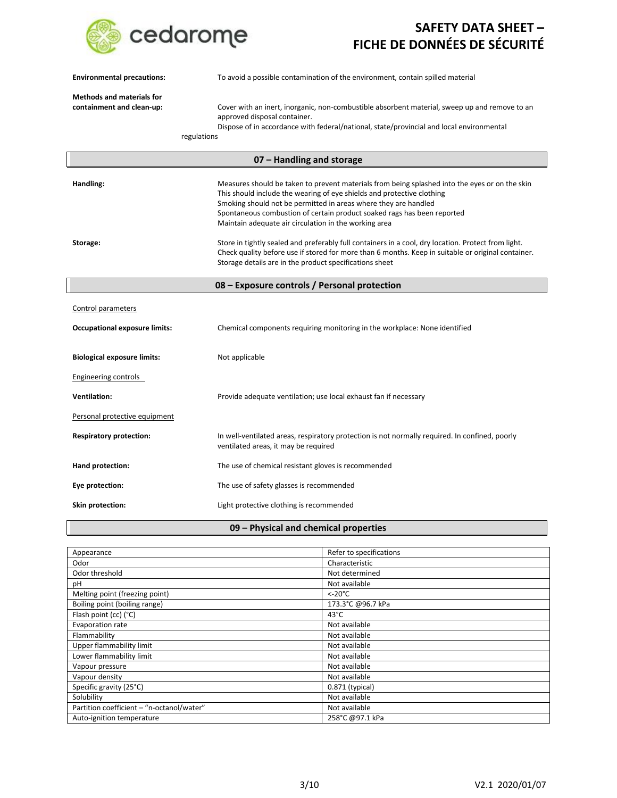

| <b>Environmental precautions:</b>                             | To avoid a possible contamination of the environment, contain spilled material                                                                                                                                                                                                                                                                                                  |
|---------------------------------------------------------------|---------------------------------------------------------------------------------------------------------------------------------------------------------------------------------------------------------------------------------------------------------------------------------------------------------------------------------------------------------------------------------|
| <b>Methods and materials for</b><br>containment and clean-up: | Cover with an inert, inorganic, non-combustible absorbent material, sweep up and remove to an<br>approved disposal container.<br>Dispose of in accordance with federal/national, state/provincial and local environmental<br>regulations                                                                                                                                        |
|                                                               | 07 - Handling and storage                                                                                                                                                                                                                                                                                                                                                       |
| Handling:                                                     | Measures should be taken to prevent materials from being splashed into the eyes or on the skin<br>This should include the wearing of eye shields and protective clothing<br>Smoking should not be permitted in areas where they are handled<br>Spontaneous combustion of certain product soaked rags has been reported<br>Maintain adequate air circulation in the working area |
| Storage:                                                      | Store in tightly sealed and preferably full containers in a cool, dry location. Protect from light.<br>Check quality before use if stored for more than 6 months. Keep in suitable or original container.<br>Storage details are in the product specifications sheet                                                                                                            |
|                                                               | 08 - Exposure controls / Personal protection                                                                                                                                                                                                                                                                                                                                    |
| <b>Control parameters</b>                                     |                                                                                                                                                                                                                                                                                                                                                                                 |
| <b>Occupational exposure limits:</b>                          | Chemical components requiring monitoring in the workplace: None identified                                                                                                                                                                                                                                                                                                      |
| <b>Biological exposure limits:</b>                            | Not applicable                                                                                                                                                                                                                                                                                                                                                                  |
| <b>Engineering controls</b>                                   |                                                                                                                                                                                                                                                                                                                                                                                 |
| <b>Ventilation:</b>                                           | Provide adequate ventilation; use local exhaust fan if necessary                                                                                                                                                                                                                                                                                                                |
| Personal protective equipment                                 |                                                                                                                                                                                                                                                                                                                                                                                 |
| <b>Respiratory protection:</b>                                | In well-ventilated areas, respiratory protection is not normally required. In confined, poorly<br>ventilated areas, it may be required                                                                                                                                                                                                                                          |
| Hand protection:                                              | The use of chemical resistant gloves is recommended                                                                                                                                                                                                                                                                                                                             |
| Eye protection:                                               | The use of safety glasses is recommended                                                                                                                                                                                                                                                                                                                                        |
| Skin protection:                                              | Light protective clothing is recommended                                                                                                                                                                                                                                                                                                                                        |

### **09 – Physical and chemical properties**

| Appearance                                | Refer to specifications |  |
|-------------------------------------------|-------------------------|--|
| Odor                                      | Characteristic          |  |
|                                           |                         |  |
| Odor threshold                            | Not determined          |  |
| рH                                        | Not available           |  |
| Melting point (freezing point)            | $<$ -20 $^{\circ}$ C    |  |
| Boiling point (boiling range)             | 173.3°C @96.7 kPa       |  |
| Flash point (cc) (°C)                     | $43^{\circ}$ C          |  |
| Evaporation rate                          | Not available           |  |
| Flammability                              | Not available           |  |
| Upper flammability limit                  | Not available           |  |
| Lower flammability limit                  | Not available           |  |
| Vapour pressure                           | Not available           |  |
| Vapour density                            | Not available           |  |
| Specific gravity (25°C)                   | 0.871 (typical)         |  |
| Solubility                                | Not available           |  |
| Partition coefficient - "n-octanol/water" | Not available           |  |
| Auto-ignition temperature                 | 258°C @97.1 kPa         |  |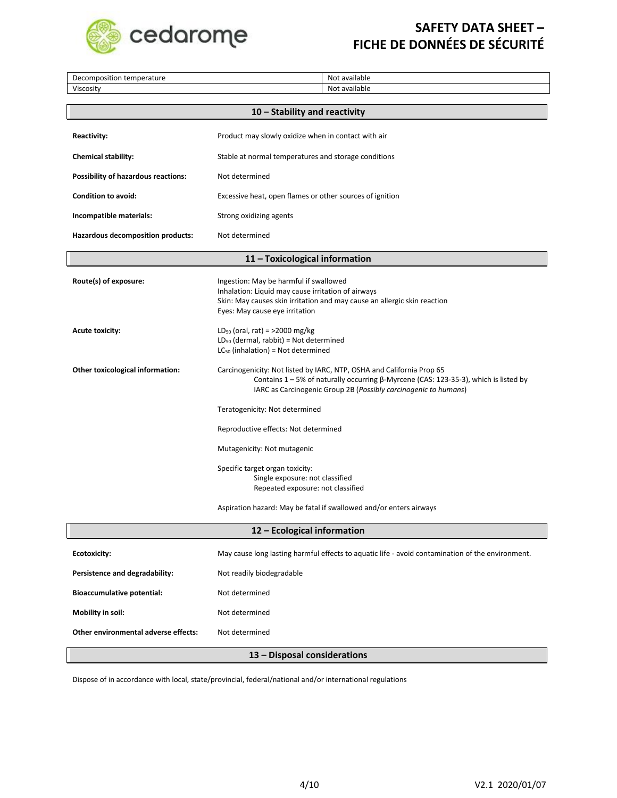

| Decomposition temperature                  | Not available                                                                                                                                                                                                                             |  |
|--------------------------------------------|-------------------------------------------------------------------------------------------------------------------------------------------------------------------------------------------------------------------------------------------|--|
| Viscosity                                  | Not available                                                                                                                                                                                                                             |  |
|                                            | 10 - Stability and reactivity                                                                                                                                                                                                             |  |
|                                            |                                                                                                                                                                                                                                           |  |
| <b>Reactivity:</b>                         | Product may slowly oxidize when in contact with air                                                                                                                                                                                       |  |
| <b>Chemical stability:</b>                 | Stable at normal temperatures and storage conditions                                                                                                                                                                                      |  |
| <b>Possibility of hazardous reactions:</b> | Not determined                                                                                                                                                                                                                            |  |
| <b>Condition to avoid:</b>                 | Excessive heat, open flames or other sources of ignition                                                                                                                                                                                  |  |
| Incompatible materials:                    | Strong oxidizing agents                                                                                                                                                                                                                   |  |
| Hazardous decomposition products:          | Not determined                                                                                                                                                                                                                            |  |
|                                            | 11 - Toxicological information                                                                                                                                                                                                            |  |
| Route(s) of exposure:                      | Ingestion: May be harmful if swallowed<br>Inhalation: Liquid may cause irritation of airways<br>Skin: May causes skin irritation and may cause an allergic skin reaction<br>Eyes: May cause eye irritation                                |  |
| <b>Acute toxicity:</b>                     | $LD_{50}$ (oral, rat) = >2000 mg/kg<br>$LD_{50}$ (dermal, rabbit) = Not determined<br>$LC_{50}$ (inhalation) = Not determined                                                                                                             |  |
| Other toxicological information:           | Carcinogenicity: Not listed by IARC, NTP, OSHA and California Prop 65<br>Contains $1 - 5%$ of naturally occurring $\beta$ -Myrcene (CAS: 123-35-3), which is listed by<br>IARC as Carcinogenic Group 2B (Possibly carcinogenic to humans) |  |
|                                            | Teratogenicity: Not determined                                                                                                                                                                                                            |  |
|                                            | Reproductive effects: Not determined                                                                                                                                                                                                      |  |
|                                            | Mutagenicity: Not mutagenic                                                                                                                                                                                                               |  |
|                                            | Specific target organ toxicity:<br>Single exposure: not classified<br>Repeated exposure: not classified                                                                                                                                   |  |
|                                            | Aspiration hazard: May be fatal if swallowed and/or enters airways                                                                                                                                                                        |  |
| 12 - Ecological information                |                                                                                                                                                                                                                                           |  |
| <b>Ecotoxicity:</b>                        | May cause long lasting harmful effects to aquatic life - avoid contamination of the environment.                                                                                                                                          |  |
| Persistence and degradability:             | Not readily biodegradable                                                                                                                                                                                                                 |  |
| <b>Bioaccumulative potential:</b>          | Not determined                                                                                                                                                                                                                            |  |
| Mobility in soil:                          | Not determined                                                                                                                                                                                                                            |  |
| Other environmental adverse effects:       | Not determined                                                                                                                                                                                                                            |  |

Dispose of in accordance with local, state/provincial, federal/national and/or international regulations

**13 – Disposal considerations**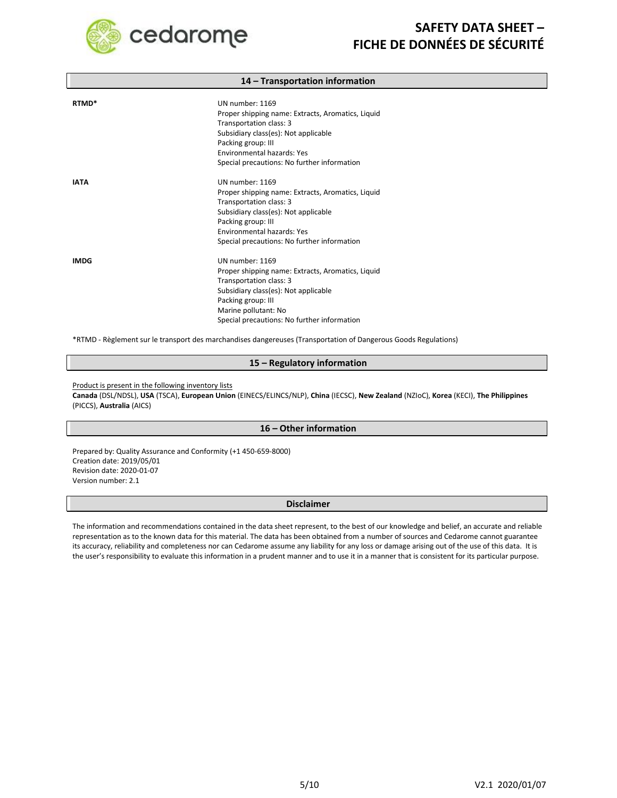

#### **14 – Transportation information**

| RTMD <sup>*</sup> | UN number: 1169<br>Proper shipping name: Extracts, Aromatics, Liquid<br>Transportation class: 3<br>Subsidiary class(es): Not applicable<br>Packing group: III<br><b>Environmental hazards: Yes</b><br>Special precautions: No further information |
|-------------------|---------------------------------------------------------------------------------------------------------------------------------------------------------------------------------------------------------------------------------------------------|
| <b>IATA</b>       | UN number: 1169<br>Proper shipping name: Extracts, Aromatics, Liquid<br>Transportation class: 3<br>Subsidiary class(es): Not applicable<br>Packing group: III<br><b>Environmental hazards: Yes</b><br>Special precautions: No further information |
| <b>IMDG</b>       | UN number: 1169<br>Proper shipping name: Extracts, Aromatics, Liquid<br>Transportation class: 3<br>Subsidiary class(es): Not applicable<br>Packing group: III<br>Marine pollutant: No<br>Special precautions: No further information              |

\*RTMD - Règlement sur le transport des marchandises dangereuses (Transportation of Dangerous Goods Regulations)

#### **15 – Regulatory information**

Product is present in the following inventory lists

**Canada** (DSL/NDSL), **USA** (TSCA), **European Union** (EINECS/ELINCS/NLP), **China** (IECSC), **New Zealand** (NZIoC), **Korea** (KECI), **The Philippines** (PICCS), **Australia** (AICS)

#### **16 – Other information**

Prepared by: Quality Assurance and Conformity (+1 450-659-8000) Creation date: 2019/05/01 Revision date: 2020-01-07 Version number: 2.1

#### **Disclaimer**

The information and recommendations contained in the data sheet represent, to the best of our knowledge and belief, an accurate and reliable representation as to the known data for this material. The data has been obtained from a number of sources and Cedarome cannot guarantee its accuracy, reliability and completeness nor can Cedarome assume any liability for any loss or damage arising out of the use of this data. It is the user's responsibility to evaluate this information in a prudent manner and to use it in a manner that is consistent for its particular purpose.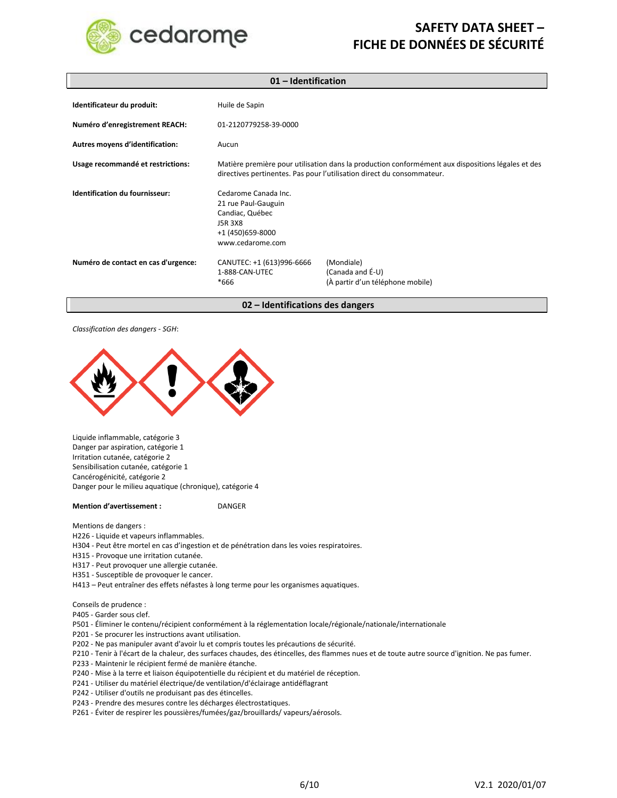

| 01 - Identification                 |                                                                                                                                                                             |                                                                    |
|-------------------------------------|-----------------------------------------------------------------------------------------------------------------------------------------------------------------------------|--------------------------------------------------------------------|
| Identificateur du produit:          | Huile de Sapin                                                                                                                                                              |                                                                    |
| Numéro d'enregistrement REACH:      | 01-2120779258-39-0000                                                                                                                                                       |                                                                    |
| Autres moyens d'identification:     | Aucun                                                                                                                                                                       |                                                                    |
| Usage recommandé et restrictions:   | Matière première pour utilisation dans la production conformément aux dispositions légales et des<br>directives pertinentes. Pas pour l'utilisation direct du consommateur. |                                                                    |
| Identification du fournisseur:      | Cedarome Canada Inc.<br>21 rue Paul-Gauguin<br>Candiac, Québec<br><b>J5R 3X8</b><br>+1 (450) 659-8000<br>www.cedarome.com                                                   |                                                                    |
| Numéro de contact en cas d'urgence: | CANUTEC: +1 (613)996-6666<br>1-888-CAN-UTEC<br>$*666$                                                                                                                       | (Mondiale)<br>(Canada and É-U)<br>(À partir d'un téléphone mobile) |

**02 – Identifications des dangers**

*Classification des dangers - SGH*:



Liquide inflammable, catégorie 3 Danger par aspiration, catégorie 1 Irritation cutanée, catégorie 2 Sensibilisation cutanée, catégorie 1 Cancérogénicité, catégorie 2 Danger pour le milieu aquatique (chronique), catégorie 4

**Mention d'avertissement :** DANGER

Mentions de dangers :

- H226 Liquide et vapeurs inflammables.
- H304 Peut être mortel en cas d'ingestion et de pénétration dans les voies respiratoires.
- H315 Provoque une irritation cutanée.
- H317 Peut provoquer une allergie cutanée.
- H351 Susceptible de provoquer le cancer.
- H413 Peut entraîner des effets néfastes à long terme pour les organismes aquatiques.

Conseils de prudence :

P405 - Garder sous clef.

- P501 Éliminer le contenu/récipient conformément à la réglementation locale/régionale/nationale/internationale
- P201 Se procurer les instructions avant utilisation.
- P202 Ne pas manipuler avant d'avoir lu et compris toutes les précautions de sécurité.
- P210 Tenir à l'écart de la chaleur, des surfaces chaudes, des étincelles, des flammes nues et de toute autre source d'ignition. Ne pas fumer.
- P233 Maintenir le récipient fermé de manière étanche.
- P240 Mise à la terre et liaison équipotentielle du récipient et du matériel de réception.
- P241 Utiliser du matériel électrique/de ventilation/d'éclairage antidéflagrant
- P242 Utiliser d'outils ne produisant pas des étincelles.
- P243 Prendre des mesures contre les décharges électrostatiques.
- P261 Éviter de respirer les poussières/fumées/gaz/brouillards/ vapeurs/aérosols.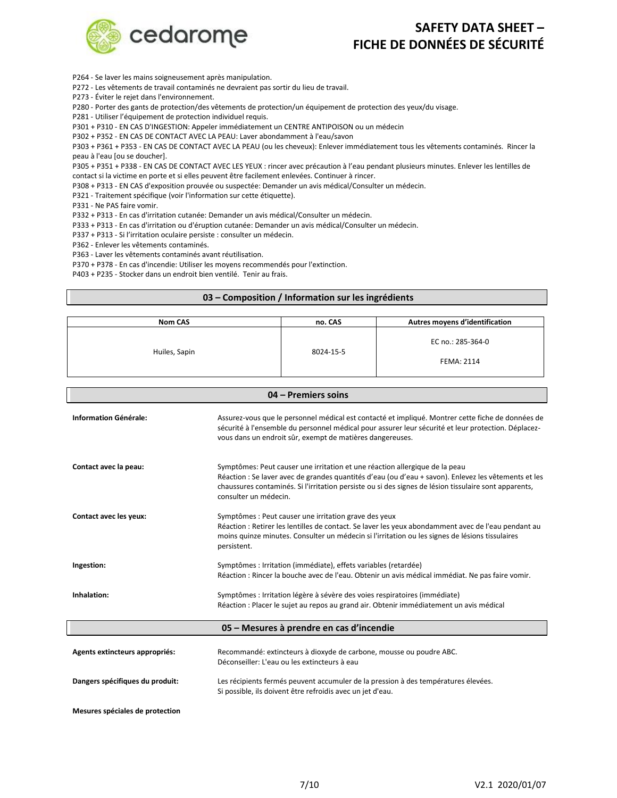

P264 - Se laver les mains soigneusement après manipulation.

P272 - Les vêtements de travail contaminés ne devraient pas sortir du lieu de travail.

P273 - Éviter le rejet dans l'environnement.

P280 - Porter des gants de protection/des vêtements de protection/un équipement de protection des yeux/du visage.

P281 - Utiliser l'équipement de protection individuel requis.

P301 + P310 - EN CAS D'INGESTION: Appeler immédiatement un CENTRE ANTIPOISON ou un médecin

P302 + P352 - EN CAS DE CONTACT AVEC LA PEAU: Laver abondamment à l'eau/savon

P303 + P361 + P353 - EN CAS DE CONTACT AVEC LA PEAU (ou les cheveux): Enlever immédiatement tous les vêtements contaminés. Rincer la peau à l'eau [ou se doucher].

P305 + P351 + P338 - EN CAS DE CONTACT AVEC LES YEUX : rincer avec précaution à l'eau pendant plusieurs minutes. Enlever les lentilles de contact si la victime en porte et si elles peuvent être facilement enlevées. Continuer à rincer.

P308 + P313 - EN CAS d'exposition prouvée ou suspectée: Demander un avis médical/Consulter un médecin.

P321 - Traitement spécifique (voir l'information sur cette étiquette).

P331 - Ne PAS faire vomir.

P332 + P313 - En cas d'irritation cutanée: Demander un avis médical/Consulter un médecin.

P333 + P313 - En cas d'irritation ou d'éruption cutanée: Demander un avis médical/Consulter un médecin.

P337 + P313 - Si l'irritation oculaire persiste : consulter un médecin.

P362 - Enlever les vêtements contaminés.

P363 - Laver les vêtements contaminés avant réutilisation.

P370 + P378 - En cas d'incendie: Utiliser les moyens recommendés pour l'extinction.

P403 + P235 - Stocker dans un endroit bien ventilé. Tenir au frais.

#### **03 – Composition / Information sur les ingrédients**

| <b>Nom CAS</b> | no. CAS   | Autres moyens d'identification  |
|----------------|-----------|---------------------------------|
| Huiles, Sapin  | 8024-15-5 | EC no.: 285-364-0<br>FEMA: 2114 |

**04 – Premiers soins**

| u4 – Premiers soins                      |                                                                                                                                                                                                                                                                                                                       |  |
|------------------------------------------|-----------------------------------------------------------------------------------------------------------------------------------------------------------------------------------------------------------------------------------------------------------------------------------------------------------------------|--|
| <b>Information Générale:</b>             | Assurez-vous que le personnel médical est contacté et impliqué. Montrer cette fiche de données de<br>sécurité à l'ensemble du personnel médical pour assurer leur sécurité et leur protection. Déplacez-<br>vous dans un endroit sûr, exempt de matières dangereuses.                                                 |  |
| Contact avec la peau:                    | Symptômes: Peut causer une irritation et une réaction allergique de la peau<br>Réaction : Se laver avec de grandes quantités d'eau (ou d'eau + savon). Enlevez les vêtements et les<br>chaussures contaminés. Si l'irritation persiste ou si des signes de lésion tissulaire sont apparents,<br>consulter un médecin. |  |
| Contact avec les yeux:                   | Symptômes : Peut causer une irritation grave des yeux<br>Réaction : Retirer les lentilles de contact. Se laver les yeux abondamment avec de l'eau pendant au<br>moins quinze minutes. Consulter un médecin si l'irritation ou les signes de lésions tissulaires<br>persistent.                                        |  |
| Ingestion:                               | Symptômes : Irritation (immédiate), effets variables (retardée)<br>Réaction : Rincer la bouche avec de l'eau. Obtenir un avis médical immédiat. Ne pas faire vomir.                                                                                                                                                   |  |
| Inhalation:                              | Symptômes : Irritation légère à sévère des voies respiratoires (immédiate)<br>Réaction : Placer le sujet au repos au grand air. Obtenir immédiatement un avis médical                                                                                                                                                 |  |
| 05 – Mesures à prendre en cas d'incendie |                                                                                                                                                                                                                                                                                                                       |  |
| Agents extincteurs appropriés:           | Recommandé: extincteurs à dioxyde de carbone, mousse ou poudre ABC.<br>Déconseiller: L'eau ou les extincteurs à eau                                                                                                                                                                                                   |  |
| Dangers spécifiques du produit:          | Les récipients fermés peuvent accumuler de la pression à des températures élevées.<br>Si possible, ils doivent être refroidis avec un jet d'eau.                                                                                                                                                                      |  |
| Mesures spéciales de protection          |                                                                                                                                                                                                                                                                                                                       |  |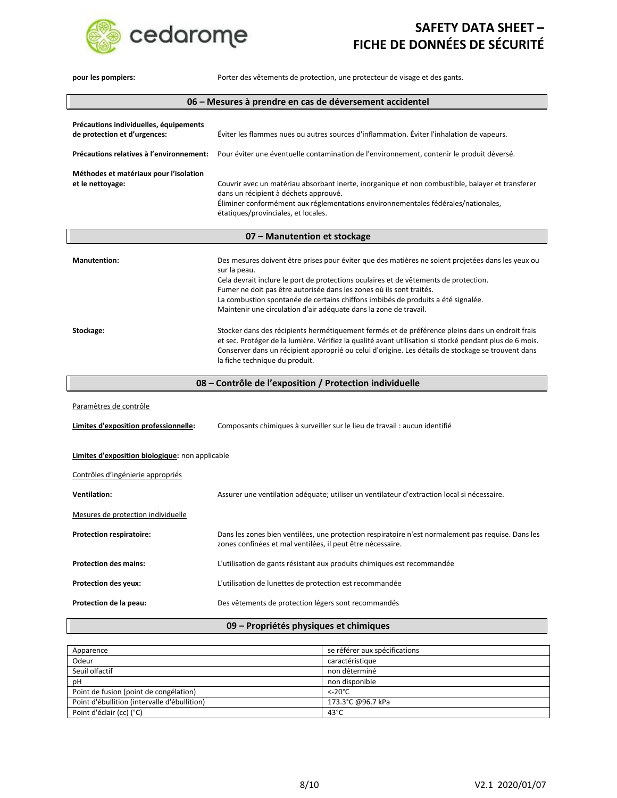

| pour les pompiers:                                                     | Porter des vêtements de protection, une protecteur de visage et des gants.                                                                                                                                                                                                                                                                                                                                                                 |  |
|------------------------------------------------------------------------|--------------------------------------------------------------------------------------------------------------------------------------------------------------------------------------------------------------------------------------------------------------------------------------------------------------------------------------------------------------------------------------------------------------------------------------------|--|
| 06 – Mesures à prendre en cas de déversement accidentel                |                                                                                                                                                                                                                                                                                                                                                                                                                                            |  |
| Précautions individuelles, équipements<br>de protection et d'urgences: | Éviter les flammes nues ou autres sources d'inflammation. Éviter l'inhalation de vapeurs.                                                                                                                                                                                                                                                                                                                                                  |  |
| Précautions relatives à l'environnement:                               | Pour éviter une éventuelle contamination de l'environnement, contenir le produit déversé.                                                                                                                                                                                                                                                                                                                                                  |  |
| Méthodes et matériaux pour l'isolation<br>et le nettoyage:             | Couvrir avec un matériau absorbant inerte, inorganique et non combustible, balayer et transferer<br>dans un récipient à déchets approuvé.<br>Éliminer conformément aux réglementations environnementales fédérales/nationales,<br>étatiques/provinciales, et locales.                                                                                                                                                                      |  |
|                                                                        | 07 - Manutention et stockage                                                                                                                                                                                                                                                                                                                                                                                                               |  |
| <b>Manutention:</b>                                                    | Des mesures doivent être prises pour éviter que des matières ne soient projetées dans les yeux ou<br>sur la peau.<br>Cela devrait inclure le port de protections oculaires et de vêtements de protection.<br>Fumer ne doit pas être autorisée dans les zones où ils sont traités.<br>La combustion spontanée de certains chiffons imbibés de produits a été signalée.<br>Maintenir une circulation d'air adéquate dans la zone de travail. |  |
| Stockage:                                                              | Stocker dans des récipients hermétiquement fermés et de préférence pleins dans un endroit frais<br>et sec. Protéger de la lumière. Vérifiez la qualité avant utilisation si stocké pendant plus de 6 mois.<br>Conserver dans un récipient approprié ou celui d'origine. Les détails de stockage se trouvent dans<br>la fiche technique du produit.                                                                                         |  |
| 08 - Contrôle de l'exposition / Protection individuelle                |                                                                                                                                                                                                                                                                                                                                                                                                                                            |  |
| Paramètres de contrôle<br>Limites d'exposition professionnelle:        | Composants chimiques à surveiller sur le lieu de travail : aucun identifié                                                                                                                                                                                                                                                                                                                                                                 |  |
| Limites d'exposition biologique: non applicable                        |                                                                                                                                                                                                                                                                                                                                                                                                                                            |  |
| Contrôles d'ingénierie appropriés                                      |                                                                                                                                                                                                                                                                                                                                                                                                                                            |  |
| <b>Ventilation:</b>                                                    | Assurer une ventilation adéquate; utiliser un ventilateur d'extraction local si nécessaire.                                                                                                                                                                                                                                                                                                                                                |  |
| Mesures de protection individuelle                                     |                                                                                                                                                                                                                                                                                                                                                                                                                                            |  |
| <b>Protection respiratoire:</b>                                        | Dans les zones bien ventilées, une protection respiratoire n'est normalement pas requise. Dans les<br>zones confinées et mal ventilées, il peut être nécessaire.                                                                                                                                                                                                                                                                           |  |
| <b>Protection des mains:</b>                                           | L'utilisation de gants résistant aux produits chimiques est recommandée                                                                                                                                                                                                                                                                                                                                                                    |  |
| <b>Protection des yeux:</b>                                            | L'utilisation de lunettes de protection est recommandée                                                                                                                                                                                                                                                                                                                                                                                    |  |
| Protection de la peau:                                                 | Des vêtements de protection légers sont recommandés                                                                                                                                                                                                                                                                                                                                                                                        |  |

**09 – Propriétés physiques et chimiques**

| Apparence                                    | se référer aux spécifications |
|----------------------------------------------|-------------------------------|
| Odeur                                        | caractéristique               |
| Seuil olfactif                               | non déterminé                 |
| рH                                           | non disponible                |
| Point de fusion (point de congélation)       | $<$ -20 $^{\circ}$ C          |
| Point d'ébullition (intervalle d'ébullition) | 173.3°C @96.7 kPa             |
| Point d'éclair (cc) (°C)                     | $43^{\circ}$ C                |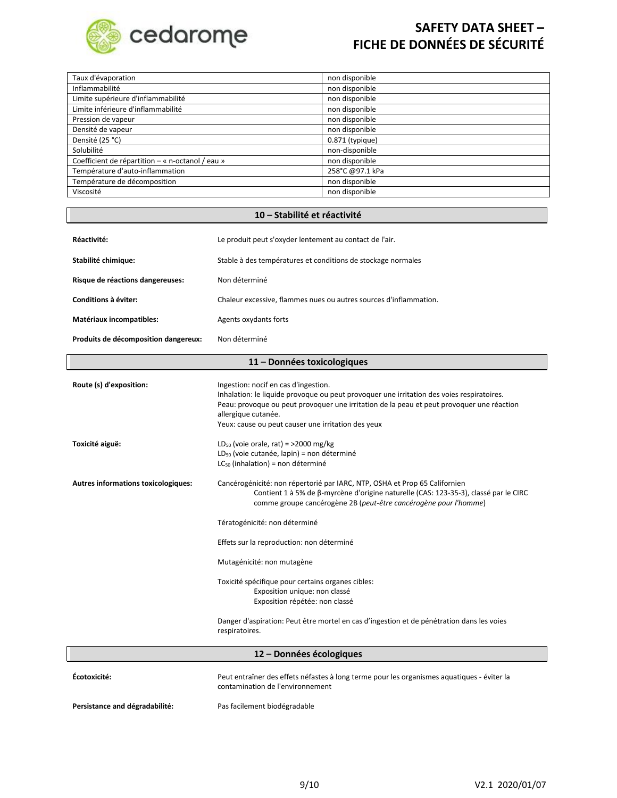

| Taux d'évaporation                               | non disponible    |
|--------------------------------------------------|-------------------|
| Inflammabilité                                   | non disponible    |
| Limite supérieure d'inflammabilité               | non disponible    |
| Limite inférieure d'inflammabilité               | non disponible    |
| Pression de vapeur                               | non disponible    |
| Densité de vapeur                                | non disponible    |
| Densité (25 °C)                                  | $0.871$ (typique) |
| Solubilité                                       | non-disponible    |
| Coefficient de répartition – « n-octanol / eau » | non disponible    |
| Température d'auto-inflammation                  | 258°C @97.1 kPa   |
| Température de décomposition                     | non disponible    |
| Viscosité                                        | non disponible    |
|                                                  |                   |

### **10 – Stabilité et réactivité**

| Réactivité:                          | Le produit peut s'oxyder lentement au contact de l'air.                                                                                                                                                                                                                                                     |  |
|--------------------------------------|-------------------------------------------------------------------------------------------------------------------------------------------------------------------------------------------------------------------------------------------------------------------------------------------------------------|--|
| Stabilité chimique:                  | Stable à des températures et conditions de stockage normales                                                                                                                                                                                                                                                |  |
| Risque de réactions dangereuses:     | Non déterminé                                                                                                                                                                                                                                                                                               |  |
| Conditions à éviter:                 | Chaleur excessive, flammes nues ou autres sources d'inflammation.                                                                                                                                                                                                                                           |  |
| Matériaux incompatibles:             | Agents oxydants forts                                                                                                                                                                                                                                                                                       |  |
| Produits de décomposition dangereux: | Non déterminé                                                                                                                                                                                                                                                                                               |  |
| 11 - Données toxicologiques          |                                                                                                                                                                                                                                                                                                             |  |
| Route (s) d'exposition:              | Ingestion: nocif en cas d'ingestion.<br>Inhalation: le liquide provoque ou peut provoquer une irritation des voies respiratoires.<br>Peau: provoque ou peut provoquer une irritation de la peau et peut provoquer une réaction<br>allergique cutanée.<br>Yeux: cause ou peut causer une irritation des yeux |  |
| Toxicité aiguë:                      | $LD_{50}$ (voie orale, rat) = >2000 mg/kg<br>LD <sub>50</sub> (voie cutanée, lapin) = non déterminé<br>$LC_{50}$ (inhalation) = non déterminé                                                                                                                                                               |  |
| Autres informations toxicologiques:  | Cancérogénicité: non répertorié par IARC, NTP, OSHA et Prop 65 Californien<br>Contient 1 à 5% de β-myrcène d'origine naturelle (CAS: 123-35-3), classé par le CIRC<br>comme groupe cancérogène 2B (peut-être cancérogène pour l'homme)                                                                      |  |
|                                      | Tératogénicité: non déterminé                                                                                                                                                                                                                                                                               |  |
|                                      | Effets sur la reproduction: non déterminé                                                                                                                                                                                                                                                                   |  |
|                                      | Mutagénicité: non mutagène                                                                                                                                                                                                                                                                                  |  |
|                                      | Toxicité spécifique pour certains organes cibles:<br>Exposition unique: non classé<br>Exposition répétée: non classé                                                                                                                                                                                        |  |
|                                      | Danger d'aspiration: Peut être mortel en cas d'ingestion et de pénétration dans les voies<br>respiratoires.                                                                                                                                                                                                 |  |

| 12 – Données écologiques       |                                                                                                                                |
|--------------------------------|--------------------------------------------------------------------------------------------------------------------------------|
| Écotoxicité:                   | Peut entraîner des effets néfastes à long terme pour les organismes aquatiques - éviter la<br>contamination de l'environnement |
| Persistance and dégradabilité: | Pas facilement biodégradable                                                                                                   |